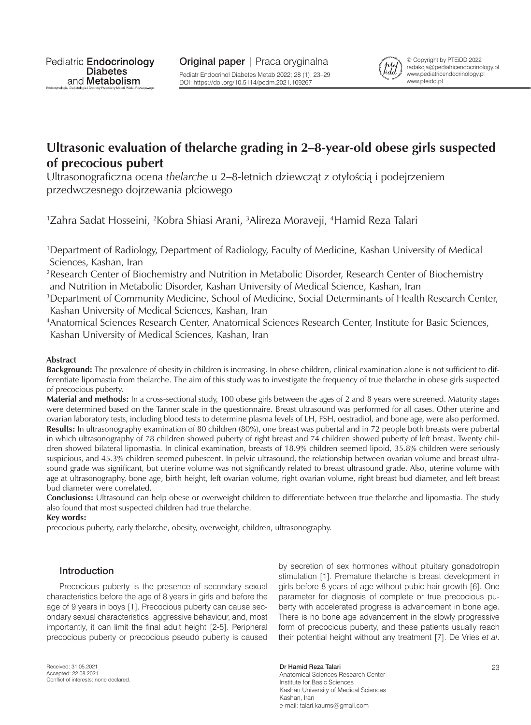

© Copyright by PTEiDD 2022 redakcja@pediatricendocrinology.pl www.pediatricendocrinology.pl www.pteidd.pl

# **Ultrasonic evaluation of thelarche grading in 2–8-year-old obese girls suspected of precocious pubert**

Ultrasonograficzna ocena *thelarche* u 2–8-letnich dziewcząt z otyłością i podejrzeniem przedwczesnego dojrzewania płciowego

<sup>1</sup>Zahra Sadat Hosseini, <sup>2</sup>Kobra Shiasi Arani, <sup>3</sup>Alireza Moraveji, <sup>4</sup>Hamid Reza Talari

1 Department of Radiology, Department of Radiology, Faculty of Medicine, Kashan University of Medical Sciences, Kashan, Iran

2 Research Center of Biochemistry and Nutrition in Metabolic Disorder, Research Center of Biochemistry and Nutrition in Metabolic Disorder, Kashan University of Medical Science, Kashan, Iran

3 Department of Community Medicine, School of Medicine, Social Determinants of Health Research Center, Kashan University of Medical Sciences, Kashan, Iran

4 Anatomical Sciences Research Center, Anatomical Sciences Research Center, Institute for Basic Sciences, Kashan University of Medical Sciences, Kashan, Iran

## **Abstract**

**Background:** The prevalence of obesity in children is increasing. In obese children, clinical examination alone is not sufficient to differentiate lipomastia from thelarche. The aim of this study was to investigate the frequency of true thelarche in obese girls suspected of precocious puberty.

**Material and methods:** In a cross-sectional study, 100 obese girls between the ages of 2 and 8 years were screened. Maturity stages were determined based on the Tanner scale in the questionnaire. Breast ultrasound was performed for all cases. Other uterine and ovarian laboratory tests, including blood tests to determine plasma levels of LH, FSH, oestradiol, and bone age, were also performed. **Results:** In ultrasonography examination of 80 children (80%), one breast was pubertal and in 72 people both breasts were pubertal in which ultrasonography of 78 children showed puberty of right breast and 74 children showed puberty of left breast. Twenty children showed bilateral lipomastia. In clinical examination, breasts of 18.9% children seemed lipoid, 35.8% children were seriously suspicious, and 45.3% children seemed pubescent. In pelvic ultrasound, the relationship between ovarian volume and breast ultrasound grade was significant, but uterine volume was not significantly related to breast ultrasound grade. Also, uterine volume with age at ultrasonography, bone age, birth height, left ovarian volume, right ovarian volume, right breast bud diameter, and left breast bud diameter were correlated.

**Conclusions:** Ultrasound can help obese or overweight children to differentiate between true thelarche and lipomastia. The study also found that most suspected children had true thelarche.

**Key words:**

precocious puberty, early thelarche, obesity, overweight, children, ultrasonography.

# Introduction

Precocious puberty is the presence of secondary sexual characteristics before the age of 8 years in girls and before the age of 9 years in boys [1]. Precocious puberty can cause secondary sexual characteristics, aggressive behaviour, and, most importantly, it can limit the final adult height [2-5]. Peripheral precocious puberty or precocious pseudo puberty is caused

by secretion of sex hormones without pituitary gonadotropin stimulation [1]. Premature thelarche is breast development in girls before 8 years of age without pubic hair growth [6]. One parameter for diagnosis of complete or true precocious puberty with accelerated progress is advancement in bone age. There is no bone age advancement in the slowly progressive form of precocious puberty, and these patients usually reach their potential height without any treatment [7]. De Vries *et al*.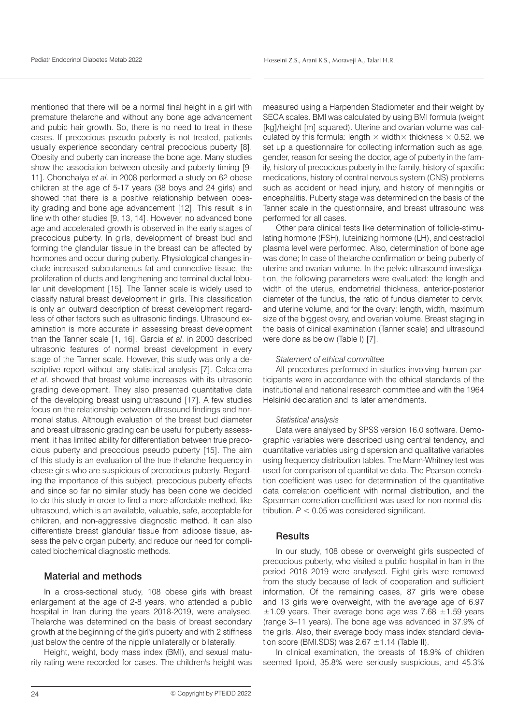mentioned that there will be a normal final height in a girl with premature thelarche and without any bone age advancement and pubic hair growth. So, there is no need to treat in these cases. If precocious pseudo puberty is not treated, patients usually experience secondary central precocious puberty [8]. Obesity and puberty can increase the bone age. Many studies show the association between obesity and puberty timing [9- 11]. Chonchaiya *et al.* in 2008 performed a study on 62 obese children at the age of 5-17 years (38 boys and 24 girls) and showed that there is a positive relationship between obesity grading and bone age advancement [12]. This result is in line with other studies [9, 13, 14]. However, no advanced bone age and accelerated growth is observed in the early stages of precocious puberty. In girls, development of breast bud and forming the glandular tissue in the breast can be affected by hormones and occur during puberty. Physiological changes include increased subcutaneous fat and connective tissue, the proliferation of ducts and lengthening and terminal ductal lobular unit development [15]. The Tanner scale is widely used to classify natural breast development in girls. This classification is only an outward description of breast development regardless of other factors such as ultrasonic findings. Ultrasound examination is more accurate in assessing breast development than the Tanner scale [1, 16]. Garcia *et al*. in 2000 described ultrasonic features of normal breast development in every stage of the Tanner scale. However, this study was only a descriptive report without any statistical analysis [7]. Calcaterra *et al*. showed that breast volume increases with its ultrasonic grading development. They also presented quantitative data of the developing breast using ultrasound [17]. A few studies focus on the relationship between ultrasound findings and hormonal status. Although evaluation of the breast bud diameter and breast ultrasonic grading can be useful for puberty assessment, it has limited ability for differentiation between true precocious puberty and precocious pseudo puberty [15]. The aim of this study is an evaluation of the true thelarche frequency in obese girls who are suspicious of precocious puberty. Regarding the importance of this subject, precocious puberty effects and since so far no similar study has been done we decided to do this study in order to find a more affordable method, like ultrasound, which is an available, valuable, safe, acceptable for children, and non-aggressive diagnostic method. It can also differentiate breast glandular tissue from adipose tissue, assess the pelvic organ puberty, and reduce our need for complicated biochemical diagnostic methods.

## Material and methods

In a cross-sectional study, 108 obese girls with breast enlargement at the age of 2-8 years, who attended a public hospital in Iran during the years 2018-2019, were analysed. Thelarche was determined on the basis of breast secondary growth at the beginning of the girl's puberty and with 2 stiffness just below the centre of the nipple unilaterally or bilaterally.

Height, weight, body mass index (BMI), and sexual maturity rating were recorded for cases. The children's height was measured using a Harpenden Stadiometer and their weight by SECA scales. BMI was calculated by using BMI formula (weight [kg]/height [m] squared). Uterine and ovarian volume was calculated by this formula: length  $\times$  width $\times$  thickness  $\times$  0.52. we set up a questionnaire for collecting information such as age, gender, reason for seeing the doctor, age of puberty in the family, history of precocious puberty in the family, history of specific medications, history of central nervous system (CNS) problems such as accident or head injury, and history of meningitis or encephalitis. Puberty stage was determined on the basis of the Tanner scale in the questionnaire, and breast ultrasound was performed for all cases.

Other para clinical tests like determination of follicle-stimulating hormone (FSH), luteinizing hormone (LH), and oestradiol plasma level were performed. Also, determination of bone age was done; In case of thelarche confirmation or being puberty of uterine and ovarian volume. In the pelvic ultrasound investigation, the following parameters were evaluated: the length and width of the uterus, endometrial thickness, anterior-posterior diameter of the fundus, the ratio of fundus diameter to cervix, and uterine volume, and for the ovary: length, width, maximum size of the biggest ovary, and ovarian volume. Breast staging in the basis of clinical examination (Tanner scale) and ultrasound were done as below (Table I) [7].

#### *Statement of ethical committee*

All procedures performed in studies involving human participants were in accordance with the ethical standards of the institutional and national research committee and with the 1964 Helsinki declaration and its later amendments.

#### *Statistical analysis*

Data were analysed by SPSS version 16.0 software. Demographic variables were described using central tendency, and quantitative variables using dispersion and qualitative variables using frequency distribution tables. The Mann-Whitney test was used for comparison of quantitative data. The Pearson correlation coefficient was used for determination of the quantitative data correlation coefficient with normal distribution, and the Spearman correlation coefficient was used for non-normal distribution.  $P < 0.05$  was considered significant.

### **Results**

In our study, 108 obese or overweight girls suspected of precocious puberty, who visited a public hospital in Iran in the period 2018–2019 were analysed. Eight girls were removed from the study because of lack of cooperation and sufficient information. Of the remaining cases, 87 girls were obese and 13 girls were overweight, with the average age of 6.97  $\pm$ 1.09 years. Their average bone age was 7.68  $\pm$ 1.59 years (range 3–11 years). The bone age was advanced in 37.9% of the girls. Also, their average body mass index standard deviation score (BMI.SDS) was  $2.67 \pm 1.14$  (Table II).

In clinical examination, the breasts of 18.9% of children seemed lipoid, 35.8% were seriously suspicious, and 45.3%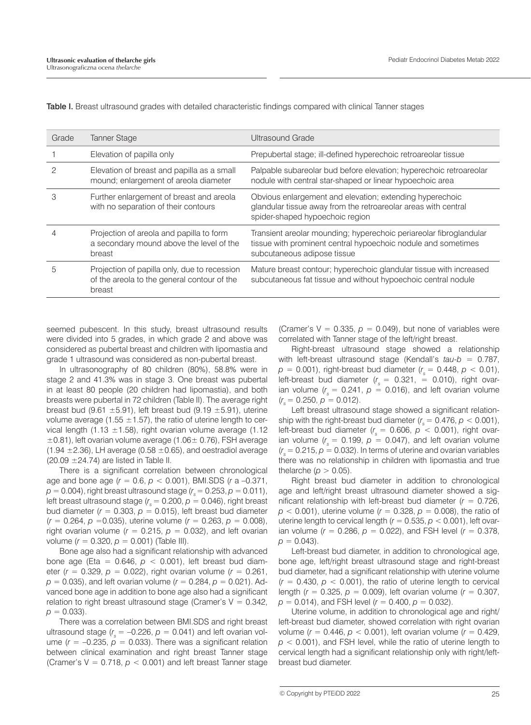| Grade | Tanner Stage                                                                                          | Ultrasound Grade                                                                                                                                                   |
|-------|-------------------------------------------------------------------------------------------------------|--------------------------------------------------------------------------------------------------------------------------------------------------------------------|
|       | Elevation of papilla only                                                                             | Prepubertal stage; ill-defined hyperechoic retroareolar tissue                                                                                                     |
| 2     | Elevation of breast and papilla as a small<br>mound; enlargement of areola diameter                   | Palpable subareolar bud before elevation; hyperechoic retroareolar<br>nodule with central star-shaped or linear hypoechoic area                                    |
| 3     | Further enlargement of breast and areola<br>with no separation of their contours                      | Obvious enlargement and elevation; extending hyperechoic<br>glandular tissue away from the retroareolar areas with central<br>spider-shaped hypoechoic region      |
|       | Projection of areola and papilla to form<br>a secondary mound above the level of the<br>breast        | Transient areolar mounding; hyperechoic periareolar fibroglandular<br>tissue with prominent central hypoechoic nodule and sometimes<br>subcutaneous adipose tissue |
| 5     | Projection of papilla only, due to recession<br>of the areola to the general contour of the<br>breast | Mature breast contour; hyperechoic glandular tissue with increased<br>subcutaneous fat tissue and without hypoechoic central nodule                                |

Table I. Breast ultrasound grades with detailed characteristic findings compared with clinical Tanner stages

seemed pubescent. In this study, breast ultrasound results were divided into 5 grades, in which grade 2 and above was considered as pubertal breast and children with lipomastia and grade 1 ultrasound was considered as non-pubertal breast.

In ultrasonography of 80 children (80%), 58.8% were in stage 2 and 41.3% was in stage 3. One breast was pubertal in at least 80 people (20 children had lipomastia), and both breasts were pubertal in 72 children (Table II). The average right breast bud (9.61  $\pm$ 5.91), left breast bud (9.19  $\pm$ 5.91), uterine volume average (1.55  $\pm$ 1.57), the ratio of uterine length to cervical length (1.13  $\pm$ 1.58), right ovarian volume average (1.12  $\pm$ 0.81), left ovarian volume average (1.06 $\pm$  0.76), FSH average  $(1.94 \pm 2.36)$ , LH average  $(0.58 \pm 0.65)$ , and oestradiol average  $(20.09 \pm 24.74)$  are listed in Table II.

There is a significant correlation between chronological age and bone age (*r* = 0.6, *p* < 0.001), BMI.SDS (*r* a –0.371,  $p = 0.004$ ), right breast ultrasound stage ( $r_s = 0.253$ ,  $p = 0.011$ ), left breast ultrasound stage ( $r<sub>s</sub>$  = 0.200,  $p$  = 0.046), right breast bud diameter  $(r = 0.303, p = 0.015)$ , left breast bud diameter  $(r = 0.264, p = 0.035)$ , uterine volume  $(r = 0.263, p = 0.008)$ , right ovarian volume  $(r = 0.215, p = 0.032)$ , and left ovarian volume (*r* = 0.320, *p* = 0.001) (Table III).

Bone age also had a significant relationship with advanced bone age (Eta =  $0.646$ ,  $p < 0.001$ ), left breast bud diameter ( $r = 0.329$ ,  $p = 0.022$ ), right ovarian volume ( $r = 0.261$ ,  $p = 0.035$ , and left ovarian volume ( $r = 0.284$ ,  $p = 0.021$ ). Advanced bone age in addition to bone age also had a significant relation to right breast ultrasound stage (Cramer's  $V = 0.342$ ,  $p = 0.033$ .

There was a correlation between BMI.SDS and right breast ultrasound stage  $(r<sub>s</sub> = -0.226, p = 0.041)$  and left ovarian volume  $(r = -0.235, p = 0.033)$ . There was a significant relation between clinical examination and right breast Tanner stage (Cramer's  $V = 0.718$ ,  $p < 0.001$ ) and left breast Tanner stage

(Cramer's  $V = 0.335$ ,  $p = 0.049$ ), but none of variables were correlated with Tanner stage of the left/right breast.

Right-breast ultrasound stage showed a relationship with left-breast ultrasound stage (Kendall's *tau-b* = 0.787, *p* = 0.001), right-breast bud diameter (*r <sup>s</sup>* = 0.448, *p* < 0.01), left-breast bud diameter  $(r<sub>s</sub> = 0.321, = 0.010)$ , right ovarian volume  $(r<sub>s</sub> = 0.241, p = 0.016)$ , and left ovarian volume  $(r<sub>s</sub> = 0.250, p = 0.012).$ 

Left breast ultrasound stage showed a significant relationship with the right-breast bud diameter  $(r<sub>s</sub> = 0.476, p < 0.001)$ , left-breast bud diameter ( $r<sub>s</sub>$  = 0.606,  $p$  < 0.001), right ovarian volume  $(r<sub>s</sub> = 0.199, p = 0.047)$ , and left ovarian volume  $(r<sub>s</sub> = 0.215, p = 0.032)$ . In terms of uterine and ovarian variables there was no relationship in children with lipomastia and true the larche ( $p > 0.05$ ).

Right breast bud diameter in addition to chronological age and left/right breast ultrasound diameter showed a significant relationship with left-breast bud diameter  $(r = 0.726)$ ,  $p$  < 0.001), uterine volume ( $r = 0.328$ ,  $p = 0.008$ ), the ratio of uterine length to cervical length  $(r = 0.535, p < 0.001)$ , left ovarian volume  $(r = 0.286, p = 0.022)$ , and FSH level  $(r = 0.378, p = 0.022)$  $p = 0.043$ .

Left-breast bud diameter, in addition to chronological age, bone age, left/right breast ultrasound stage and right-breast bud diameter, had a significant relationship with uterine volume  $(r = 0.430, p < 0.001)$ , the ratio of uterine length to cervical length ( $r = 0.325$ ,  $p = 0.009$ ), left ovarian volume ( $r = 0.307$ , *p* = 0.014), and FSH level (*r* = 0.400, *p* = 0.032).

Uterine volume, in addition to chronological age and right/ left-breast bud diameter, showed correlation with right ovarian volume (*r* = 0.446, *p* < 0.001), left ovarian volume (*r* = 0.429,  $p$  < 0.001), and FSH level, while the ratio of uterine length to cervical length had a significant relationship only with right/leftbreast bud diameter.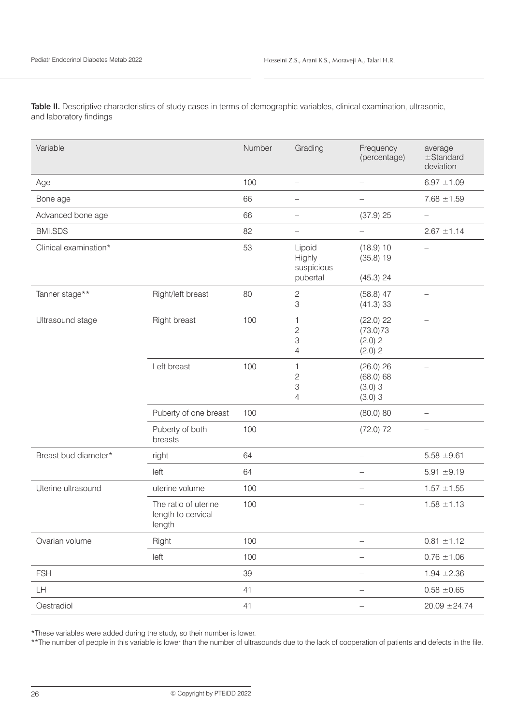Table II. Descriptive characteristics of study cases in terms of demographic variables, clinical examination, ultrasonic, and laboratory findings

| Variable              |                                                      | Number | Grading                                               | Frequency<br>(percentage)                     | average<br>$±$ Standard<br>deviation |
|-----------------------|------------------------------------------------------|--------|-------------------------------------------------------|-----------------------------------------------|--------------------------------------|
| Age                   |                                                      | 100    | $\overline{\phantom{0}}$                              | $\qquad \qquad -$                             | $6.97 \pm 1.09$                      |
| Bone age              |                                                      | 66     | $\overline{\phantom{0}}$                              |                                               | $7.68 \pm 1.59$                      |
| Advanced bone age     |                                                      | 66     | $\qquad \qquad -$                                     | $(37.9)$ 25                                   | $\overline{\phantom{0}}$             |
| <b>BMI.SDS</b>        |                                                      | 82     | $\equiv$                                              | $\equiv$                                      | $2.67 \pm 1.14$                      |
| Clinical examination* |                                                      | 53     | Lipoid<br>Highly<br>suspicious<br>pubertal            | (18.9) 10<br>(35.8) 19<br>(45.3) 24           |                                      |
| Tanner stage**        | Right/left breast                                    | 80     | $\mathbf{2}$<br>3                                     | $(58.8)$ 47<br>(41.3) 33                      | $\equiv$                             |
| Ultrasound stage      | Right breast                                         | 100    | 1<br>$\overline{c}$<br>3<br>$\overline{4}$            | $(22.0)$ 22<br>(73.0)73<br>(2.0) 2<br>(2.0) 2 |                                      |
|                       | Left breast                                          | 100    | $\mathbf{1}$<br>$\overline{c}$<br>3<br>$\overline{4}$ | (26.0) 26<br>(68.0) 68<br>(3.0)3<br>(3.0)3    |                                      |
|                       | Puberty of one breast                                | 100    |                                                       | (80.0) 80                                     |                                      |
|                       | Puberty of both<br>breasts                           | 100    |                                                       | $(72.0)$ 72                                   | $\overline{\phantom{0}}$             |
| Breast bud diameter*  | right                                                | 64     |                                                       | $\equiv$                                      | $5.58 \pm 9.61$                      |
|                       | left                                                 | 64     |                                                       |                                               | $5.91 \pm 9.19$                      |
| Uterine ultrasound    | uterine volume                                       | 100    |                                                       | $\overline{\phantom{0}}$                      | $1.57 \pm 1.55$                      |
|                       | The ratio of uterine<br>length to cervical<br>length | 100    |                                                       | $\overline{\phantom{0}}$                      | $1.58 \pm 1.13$                      |
| Ovarian volume        | Right                                                | 100    |                                                       | $\overline{\phantom{0}}$                      | $0.81 \pm 1.12$                      |
|                       | left                                                 | 100    |                                                       | $\qquad \qquad -$                             | $0.76 \pm 1.06$                      |
| <b>FSH</b>            |                                                      | 39     |                                                       | $\overline{\phantom{0}}$                      | $1.94 \pm 2.36$                      |
| LH                    |                                                      | 41     |                                                       | $\overline{\phantom{0}}$                      | $0.58 \pm 0.65$                      |
| Oestradiol            |                                                      | 41     |                                                       | $\overline{\phantom{0}}$                      | $20.09 \pm 24.74$                    |

\*These variables were added during the study, so their number is lower.

\*\*The number of people in this variable is lower than the number of ultrasounds due to the lack of cooperation of patients and defects in the file.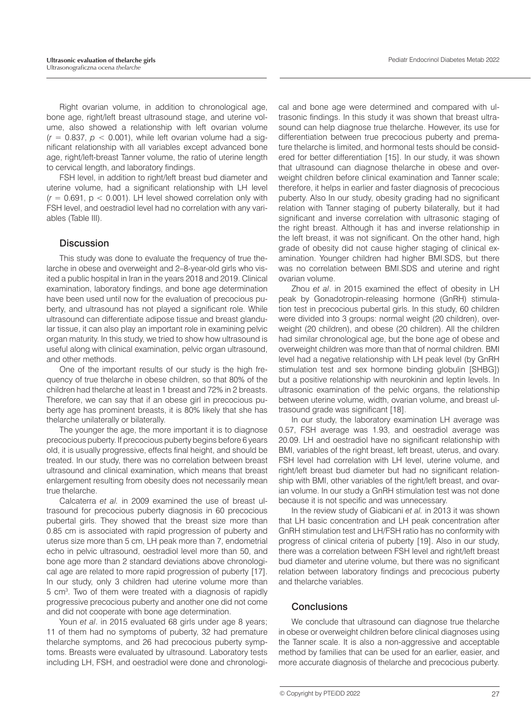Right ovarian volume, in addition to chronological age, bone age, right/left breast ultrasound stage, and uterine volume, also showed a relationship with left ovarian volume  $(r = 0.837, p < 0.001)$ , while left ovarian volume had a significant relationship with all variables except advanced bone age, right/left-breast Tanner volume, the ratio of uterine length to cervical length, and laboratory findings.

FSH level, in addition to right/left breast bud diameter and uterine volume, had a significant relationship with LH level  $(r = 0.691, p < 0.001)$ . LH level showed correlation only with FSH level, and oestradiol level had no correlation with any variables (Table III).

## **Discussion**

This study was done to evaluate the frequency of true thelarche in obese and overweight and 2–8-year-old girls who visited a public hospital in Iran in the years 2018 and 2019. Clinical examination, laboratory findings, and bone age determination have been used until now for the evaluation of precocious puberty, and ultrasound has not played a significant role. While ultrasound can differentiate adipose tissue and breast glandular tissue, it can also play an important role in examining pelvic organ maturity. In this study, we tried to show how ultrasound is useful along with clinical examination, pelvic organ ultrasound, and other methods.

One of the important results of our study is the high frequency of true thelarche in obese children, so that 80% of the children had thelarche at least in 1 breast and 72% in 2 breasts. Therefore, we can say that if an obese girl in precocious puberty age has prominent breasts, it is 80% likely that she has thelarche unilaterally or bilaterally.

The younger the age, the more important it is to diagnose precocious puberty. If precocious puberty begins before 6 years old, it is usually progressive, effects final height, and should be treated. In our study, there was no correlation between breast ultrasound and clinical examination, which means that breast enlargement resulting from obesity does not necessarily mean true thelarche.

Calcaterra *et al.* in 2009 examined the use of breast ultrasound for precocious puberty diagnosis in 60 precocious pubertal girls. They showed that the breast size more than 0.85 cm is associated with rapid progression of puberty and uterus size more than 5 cm, LH peak more than 7, endometrial echo in pelvic ultrasound, oestradiol level more than 50, and bone age more than 2 standard deviations above chronological age are related to more rapid progression of puberty [17]. In our study, only 3 children had uterine volume more than 5 cm<sup>3</sup>. Two of them were treated with a diagnosis of rapidly progressive precocious puberty and another one did not come and did not cooperate with bone age determination.

Youn *et al.* in 2015 evaluated 68 girls under age 8 years; 11 of them had no symptoms of puberty, 32 had premature thelarche symptoms, and 26 had precocious puberty symptoms. Breasts were evaluated by ultrasound. Laboratory tests including LH, FSH, and oestradiol were done and chronologi-

cal and bone age were determined and compared with ultrasonic findings. In this study it was shown that breast ultrasound can help diagnose true thelarche. However, its use for differentiation between true precocious puberty and premature thelarche is limited, and hormonal tests should be considered for better differentiation [15]. In our study, it was shown that ultrasound can diagnose thelarche in obese and overweight children before clinical examination and Tanner scale; therefore, it helps in earlier and faster diagnosis of precocious puberty. Also In our study, obesity grading had no significant relation with Tanner staging of puberty bilaterally, but it had significant and inverse correlation with ultrasonic staging of the right breast. Although it has and inverse relationship in the left breast, it was not significant. On the other hand, high grade of obesity did not cause higher staging of clinical examination. Younger children had higher BMI.SDS, but there was no correlation between BMI.SDS and uterine and right ovarian volume.

Zhou *et al*. in 2015 examined the effect of obesity in LH peak by Gonadotropin-releasing hormone (GnRH) stimulation test in precocious pubertal girls. In this study, 60 children were divided into 3 groups: normal weight (20 children), overweight (20 children), and obese (20 children). All the children had similar chronological age, but the bone age of obese and overweight children was more than that of normal children. BMI level had a negative relationship with LH peak level (by GnRH stimulation test and sex hormone binding globulin [SHBG]) but a positive relationship with neurokinin and leptin levels. In ultrasonic examination of the pelvic organs, the relationship between uterine volume, width, ovarian volume, and breast ultrasound grade was significant [18].

In our study, the laboratory examination LH average was 0.57, FSH average was 1.93, and oestradiol average was 20.09. LH and oestradiol have no significant relationship with BMI, variables of the right breast, left breast, uterus, and ovary. FSH level had correlation with LH level, uterine volume, and right/left breast bud diameter but had no significant relationship with BMI, other variables of the right/left breast, and ovarian volume. In our study a GnRH stimulation test was not done because it is not specific and was unnecessary.

In the review study of Giabicani *et al.* in 2013 it was shown that LH basic concentration and LH peak concentration after GnRH stimulation test and LH/FSH ratio has no conformity with progress of clinical criteria of puberty [19]. Also in our study, there was a correlation between FSH level and right/left breast bud diameter and uterine volume, but there was no significant relation between laboratory findings and precocious puberty and thelarche variables.

## **Conclusions**

We conclude that ultrasound can diagnose true thelarche in obese or overweight children before clinical diagnoses using the Tanner scale. It is also a non-aggressive and acceptable method by families that can be used for an earlier, easier, and more accurate diagnosis of thelarche and precocious puberty.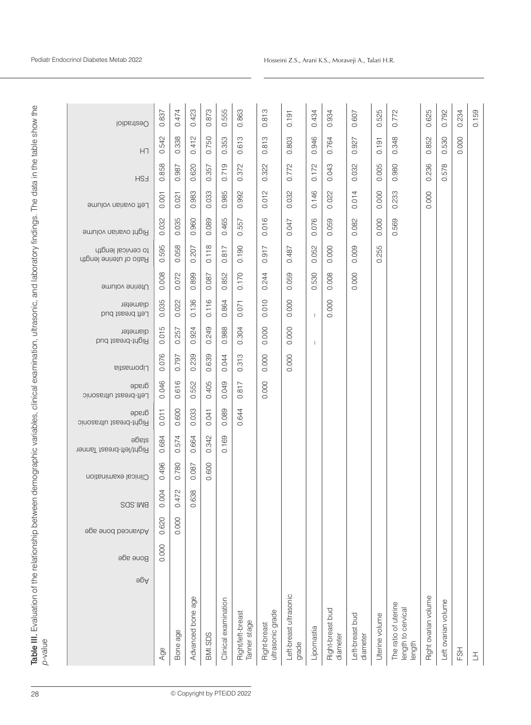| Table III. Evaluation of the relationship between demographic variables, clinical examination, ultrasonic, and laboratory findings. The data in the table show the<br>p-value |                                       |                   |                     |                      |                                          |                                           |                                 |                |                                     |                             |                |                                               |                             |                     |            |                |            |
|-------------------------------------------------------------------------------------------------------------------------------------------------------------------------------|---------------------------------------|-------------------|---------------------|----------------------|------------------------------------------|-------------------------------------------|---------------------------------|----------------|-------------------------------------|-----------------------------|----------------|-----------------------------------------------|-----------------------------|---------------------|------------|----------------|------------|
|                                                                                                                                                                               | Roue ade<br>$\Theta$ p $\overline{A}$ | Advanced bone age | SQS:IM <sub>8</sub> | Clinical examination | əbeis<br><b>Right/left-breast Tanner</b> | drade<br><b>Sinosantlu tasend-triging</b> | drade<br>Left-breast ultrasonic | Lipomastia     | diameter<br><b>Bight-breast bud</b> | diameter<br>Left breast bud | Uterine volume | to cervical length<br>Ratio of uterine length | <b>Bight ovarian volume</b> | Left ovarian volume | <b>HS3</b> | HΠ             | loibsitesO |
| Age                                                                                                                                                                           |                                       | 0.620<br>0.000    | 004<br>$\circ$      | 0.496                | 0.684                                    | 0.011                                     | 0.046                           | 0.076          | 0.015                               | 0.035                       | 0.008          | 0.595                                         | 0.032                       | 0.001               | 0.858      | 542<br>ö       | 0.837      |
| Bone age                                                                                                                                                                      |                                       | 0.000             | 472<br>O            | 0.780                | 0.574                                    | 0.600                                     | 0.616                           | 0.797          | 0.257                               | 0.022                       | 0.072          | 0.058                                         | 0.035                       | 0.021               | 0.987      | 338<br>Ö       | 0.474      |
| Advanced bone age                                                                                                                                                             |                                       |                   | 638<br>$\circ$      | 0.087                | 0.664                                    | 0.033                                     | 0.552                           | .239<br>Ö      | 0.924                               | 0.136                       | 0.899          | 0.207                                         | 0.960                       | 0.983               | 0.620      | 0.412          | 0.423      |
| BMI.SDS                                                                                                                                                                       |                                       |                   |                     | 0.600                | 0.342                                    | 0.041                                     | 0.405                           | 639<br>Ö       | 0.249                               | 0.116                       | 0.087          | 0.118                                         | 0.089                       | 0.033               | 0.357      | 0.750          | 0.873      |
| Clinical examination                                                                                                                                                          |                                       |                   |                     |                      | 0.169                                    | 0.089                                     | 0.049                           | 0.044          | 0.988                               | 0.864                       | 0.852          | 0.817                                         | 0.465                       | 0.985               | 0.719      | 0.353          | 0.555      |
| Right/left-breast<br>Tanner stage                                                                                                                                             |                                       |                   |                     |                      |                                          | 0.644                                     | 817<br>ö                        | 313<br>$\circ$ | 0.304                               | 0.071                       | 0.170          | 0.190                                         | 0.557                       | 992<br>ö            | 0.372      | 0.613          | 0.863      |
| ultrasonic grade<br>Right-breast                                                                                                                                              |                                       |                   |                     |                      |                                          |                                           | 0.000                           | 0.000          | 0.000                               | 0.010                       | 0.244          | $-917$<br>Ö                                   | 0.016                       | 012<br>ö            | 0.322      | 813<br>$\circ$ | 0.813      |
| Left-breast ultrasonic<br>grade                                                                                                                                               |                                       |                   |                     |                      |                                          |                                           |                                 | 0.000          | 0.000                               | 0.000                       | 0.059          | 0.487                                         | 0.047                       | 0.032               | 0.772      | 0.803          | 0.191      |
| Lipomastia                                                                                                                                                                    |                                       |                   |                     |                      |                                          |                                           |                                 |                |                                     |                             | 0.530          | 0.052                                         | 0.076                       | 0.146               | 0.172      | 0.946          | 0.434      |
| Right-breast bud<br>diameter                                                                                                                                                  |                                       |                   |                     |                      |                                          |                                           |                                 |                |                                     | 0.000                       | 0.008          | 0.000                                         | 0.059                       | 0.022               | 0.043      | 0.764          | 0.934      |
| Left-breast bud<br>diameter                                                                                                                                                   |                                       |                   |                     |                      |                                          |                                           |                                 |                |                                     |                             | 0.000          | 0.009                                         | 0.082                       | 0.014               | 0.032      | 0.927          | 0.607      |
| Uterine volume                                                                                                                                                                |                                       |                   |                     |                      |                                          |                                           |                                 |                |                                     |                             |                | 255<br>Ö                                      | 0.000                       | 0.000               | 0.005      | 0.191          | 0.525      |
| The ratio of uterine<br>length to cervical<br>length                                                                                                                          |                                       |                   |                     |                      |                                          |                                           |                                 |                |                                     |                             |                |                                               | 0.569                       | 0.233               | 0.980      | 0.348          | 0.772      |
| Right ovarian volume                                                                                                                                                          |                                       |                   |                     |                      |                                          |                                           |                                 |                |                                     |                             |                |                                               |                             | 000<br>Ö            | 0.236      | 0.852          | 0.625      |
| Left ovarian volume                                                                                                                                                           |                                       |                   |                     |                      |                                          |                                           |                                 |                |                                     |                             |                |                                               |                             |                     | 0.578      | 0.530          | 0.792      |
| FSH                                                                                                                                                                           |                                       |                   |                     |                      |                                          |                                           |                                 |                |                                     |                             |                |                                               |                             |                     |            | 0.000          | 0.234      |
| 舌                                                                                                                                                                             |                                       |                   |                     |                      |                                          |                                           |                                 |                |                                     |                             |                |                                               |                             |                     |            |                | 0.159      |
|                                                                                                                                                                               |                                       |                   |                     |                      |                                          |                                           |                                 |                |                                     |                             |                |                                               |                             |                     |            |                |            |